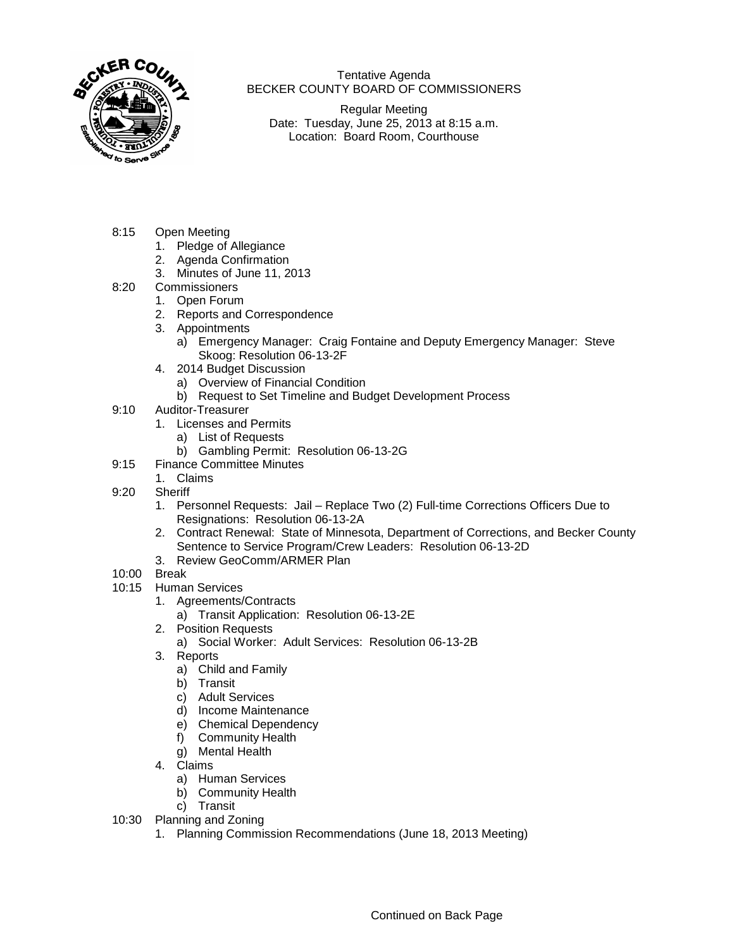

Tentative Agenda BECKER COUNTY BOARD OF COMMISSIONERS

Regular Meeting Date: Tuesday, June 25, 2013 at 8:15 a.m. Location: Board Room, Courthouse

- 8:15 Open Meeting
	- 1. Pledge of Allegiance
	- 2. Agenda Confirmation
	- 3. Minutes of June 11, 2013
- 8:20 Commissioners
	- 1. Open Forum
	- 2. Reports and Correspondence
	- 3. Appointments
		- a) Emergency Manager: Craig Fontaine and Deputy Emergency Manager: Steve Skoog: Resolution 06-13-2F
	- 4. 2014 Budget Discussion
		- a) Overview of Financial Condition
		- b) Request to Set Timeline and Budget Development Process
- 9:10 Auditor-Treasurer
	- 1. Licenses and Permits
		- a) List of Requests
		- b) Gambling Permit: Resolution 06-13-2G
- 9:15 Finance Committee Minutes
	- 1. Claims
- 9:20 Sheriff
	- 1. Personnel Requests: Jail Replace Two (2) Full-time Corrections Officers Due to Resignations: Resolution 06-13-2A
	- 2. Contract Renewal: State of Minnesota, Department of Corrections, and Becker County Sentence to Service Program/Crew Leaders: Resolution 06-13-2D
	- 3. Review GeoComm/ARMER Plan
- 10:00 Break
- 10:15 Human Services
	- 1. Agreements/Contracts
		- a) Transit Application: Resolution 06-13-2E
	- 2. Position Requests
		- a) Social Worker: Adult Services: Resolution 06-13-2B
	- 3. Reports
		- a) Child and Family
		- b) Transit
		- c) Adult Services
		- d) Income Maintenance
		- e) Chemical Dependency
		- f) Community Health
		- g) Mental Health
	- 4. Claims
		- a) Human Services
		- b) Community Health
		- c) Transit
- 10:30 Planning and Zoning
	- 1. Planning Commission Recommendations (June 18, 2013 Meeting)